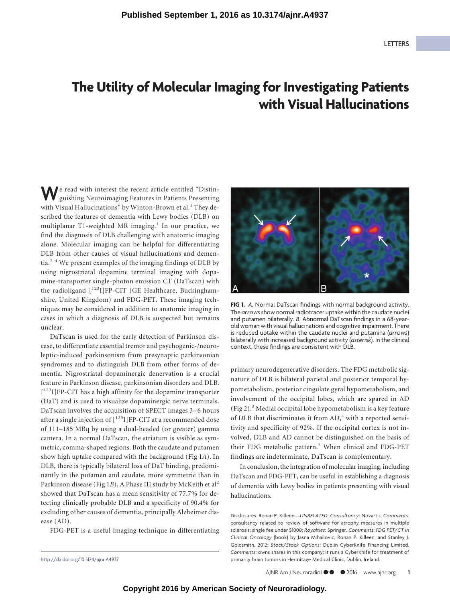## **The Utility of Molecular Imaging for Investigating Patients with Visual Hallucinations**

**W**e read with interest the recent article entitled "Distinguishing Neuroimaging Features in Patients Presenting with Visual Hallucinations" by Winton-Brown et al.<sup>[1](#page-1-0)</sup> They described the features of dementia with Lewy bodies (DLB) on multiplanar T[1](#page-1-0)-weighted MR imaging.<sup>1</sup> In our practice, we find the diagnosis of DLB challenging with anatomic imaging alone. Molecular imaging can be helpful for differentiating DLB from other causes of visual hallucinations and dementia. $2-4$  $2-4$  We present examples of the imaging findings of DLB by using nigrostriatal dopamine terminal imaging with dopamine-transporter single-photon emission CT (DaTscan) with the radioligand  $[123]$ FP-CIT (GE Healthcare, Buckinghamshire, United Kingdom) and FDG-PET. These imaging techniques may be considered in addition to anatomic imaging in cases in which a diagnosis of DLB is suspected but remains unclear.

DaTscan is used for the early detection of Parkinson disease, to differentiate essential tremor and psychogenic-/neuroleptic-induced parkinsonism from presynaptic parkinsonian syndromes and to distinguish DLB from other forms of dementia. Nigrostriatal dopaminergic denervation is a crucial feature in Parkinson disease, parkinsonian disorders and DLB. [<sup>123</sup>I]FP-CIT has a high affinity for the dopamine transporter (DaT) and is used to visualize dopaminergic nerve terminals. DaTscan involves the acquisition of SPECT images 3–6 hours after a single injection of  $[$ <sup>123</sup>I]FP-CIT at a recommended dose of 111–185 MBq by using a dual-headed (or greater) gamma camera. In a normal DaTscan, the striatum is visible as symmetric, comma-shaped regions. Both the caudate and putamen show high uptake compared with the background (Fig 1*A*). In DLB, there is typically bilateral loss of DaT binding, predominantly in the putamen and caudate, more symmetric than in Parkinson disease (Fig 1B). A Phase III study by McKeith et al<sup>[2](#page-1-1)</sup> showed that DaTscan has a mean sensitivity of 77.7% for detecting clinically probable DLB and a specificity of 90.4% for excluding other causes of dementia, principally Alzheimer disease (AD).

FDG-PET is a useful imaging technique in differentiating



**FIG 1.** *A*, Normal DaTscan findings with normal background activity. The *arrows*show normal radiotracer uptake within the caudate nuclei and putamen bilaterally. *B*, Abnormal DaTscan findings in a 68-yearold woman with visual hallucinations and cognitive impairment. There is reduced uptake within the caudate nuclei and putamina (*arrows*) bilaterally with increased background activity (*asterisk*). In the clinical context, these findings are consistent with DLB.

primary neurodegenerative disorders. The FDG metabolic signature of DLB is bilateral parietal and posterior temporal hypometabolism, posterior cingulate gyral hypometabolism, and involvement of the occipital lobes, which are spared in AD (Fig 2).[3](#page-1-3) Medial occipital lobe hypometabolism is a key feature of DLB that discriminates it from AD,<sup>[4](#page-1-2)</sup> with a reported sensitivity and specificity of 92%. If the occipital cortex is not involved, DLB and AD cannot be distinguished on the basis of their FDG metabolic pattern.<sup>[3](#page-1-3)</sup> When clinical and FDG-PET findings are indeterminate, DaTscan is complementary.

In conclusion, the integration of molecular imaging, including DaTscan and FDG-PET, can be useful in establishing a diagnosis of dementia with Lewy bodies in patients presenting with visual hallucinations.

Disclosures: Ronan P. Killeen—*UNRELATED*: *Consultancy*: Novartis, *Comments*: consultancy related to review of software for atrophy measures in multiple sclerosis; single fee under \$1000; *Royalties*: Springer, *Comments*: *FDG PET/CT in Clinical Oncology* (book) by Jasna Mihailovic, Ronan P. Killeen, and Stanley J. Goldsmith, 2012; *Stock/Stock Options*: Dublin CyberKnife Financing Limited, *Comments*: owns shares in this company; it runs a CyberKnife for treatment of http://dx.doi.org/10.3174/ajnr.A4937 primarily brain tumors in Hermitage Medical Clinic, Dublin, Ireland.